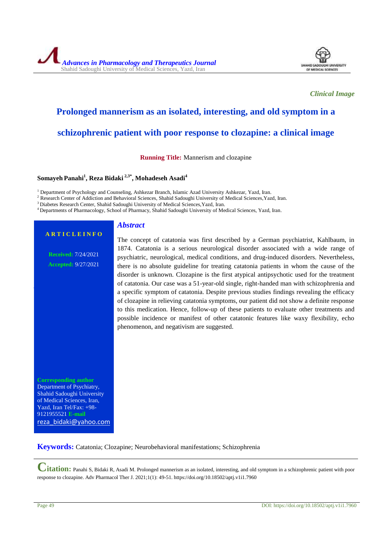*Advances in Pharmacology and Therapeutics Journal* Shahid Sadoughi University of Medical Sciences, Yazd, Iran



*Clinical Image*

# **Prolonged mannerism as an isolated, interesting, and old symptom in a**

# **schizophrenic patient with poor response to clozapine: a clinical image**

**Running Title:** Mannerism and clozapine

#### **Somayeh Panahi<sup>1</sup> , Reza Bidaki 2,3\* , Mohadeseh Asadi<sup>4</sup>**

<sup>1</sup> Department of Psychology and Counseling, Ashkezar Branch, Islamic Azad University Ashkezar, Yazd, Iran.

<sup>2</sup> Research Center of Addiction and Behavioral Sciences, Shahid Sadoughi University of Medical Sciences, Yazd, Iran.

<sup>3</sup> Diabetes Research Center, Shahid Sadoughi University of Medical Sciences, Yazd, Iran.

*Abstract*

<sup>4</sup> Departments of Pharmacology, School of Pharmacy, Shahid Sadoughi University of Medical Sciences, Yazd, Iran.

## **A R T I C L E I N F O**

**Received:** 7/24/2021 **Accepted:** 9/27/2021 The concept of catatonia was first described by a German psychiatrist, Kahlbaum, in 1874. Catatonia is a serious neurological disorder associated with a wide range of psychiatric, neurological, medical conditions, and drug-induced disorders. Nevertheless, there is no absolute guideline for treating catatonia patients in whom the cause of the disorder is unknown. Clozapine is the first atypical antipsychotic used for the treatment of catatonia. Our case was a 51-year-old single, right-handed man with schizophrenia and a specific symptom of catatonia. Despite previous studies findings revealing the efficacy of clozapine in relieving catatonia symptoms, our patient did not show a definite response to this medication. Hence, follow-up of these patients to evaluate other treatments and possible incidence or manifest of other catatonic features like waxy flexibility, echo phenomenon, and negativism are suggested.

**Corresponding author** Department of Psychiatry, Shahid Sadoughi University of Medical Sciences, Iran, Yazd, Iran Tel/Fax: +98- 9121955521 **E-mail** reza\_bidaki@yahoo.com

**Keywords:** Catatonia; Clozapine; [Neurobehavioral manifestations;](https://www.ncbi.nlm.nih.gov/mesh/68019954) Schizophrenia

**Citation:** Panahi S, Bidaki R, Asadi M. Prolonged mannerism as an isolated, interesting, and old symptom in a schizophrenic patient with poor response to clozapine. Adv Pharmacol Ther J. 2021;1(1): 49-51. https://doi.org/10.18502/aptj.v1i1.7960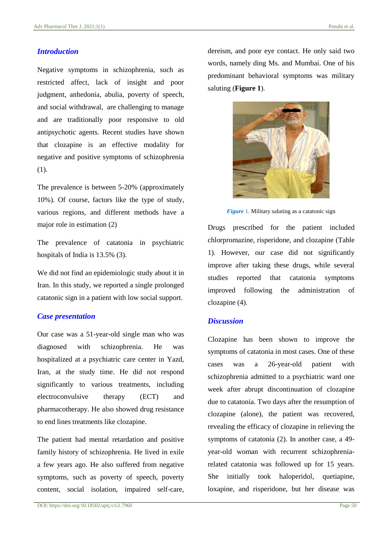#### *Introduction*

Negative symptoms in schizophrenia, such as restricted affect, lack of insight and poor judgment, anhedonia, abulia, poverty of speech, and social withdrawal, are challenging to manage and are traditionally poor responsive to old antipsychotic agents. Recent studies have shown that clozapine is an effective modality for negative and positive symptoms of schizophrenia (1).

The prevalence is between 5-20% (approximately 10%). Of course, factors like the type of study, various regions, and different methods have a major role in estimation (2)

The prevalence of catatonia in psychiatric hospitals of India is 13.5% (3).

We did not find an epidemiologic study about it in Iran. In this study, we reported a single prolonged catatonic sign in a patient with low social support.

#### *Case presentation*

Our case was a 51-year-old single man who was diagnosed with schizophrenia. He was hospitalized at a psychiatric care center in Yazd, Iran, at the study time. He did not respond significantly to various treatments, including electroconvulsive therapy (ECT) and pharmacotherapy. He also showed drug resistance to end lines treatments like clozapine.

The patient had mental retardation and positive family history of schizophrenia. He lived in exile a few years ago. He also suffered from negative symptoms, such as poverty of speech, poverty content, social isolation, impaired self-care, dereism, and poor eye contact. He only said two words, namely ding Ms. and Mumbai. One of his predominant behavioral symptoms was military saluting (**Figure 1**).



*Figure* 1. Military saluting as a catatonic sign

Drugs prescribed for the patient included chlorpromazine, risperidone, and clozapine (Table 1). However, our case did not significantly improve after taking these drugs, while several studies reported that catatonia symptoms improved following the administration of clozapine (4).

### *Discussion*

Clozapine has been shown to improve the symptoms of catatonia in most cases. One of these cases was a 26-year-old patient with schizophrenia admitted to a psychiatric ward one week after abrupt discontinuation of clozapine due to catatonia. Two days after the resumption of clozapine (alone), the patient was recovered, revealing the efficacy of clozapine in relieving the symptoms of catatonia (2). In another case, a 49 year-old woman with recurrent schizophreniarelated catatonia was followed up for 15 years. She initially took haloperidol, quetiapine, loxapine, and risperidone, but her disease was